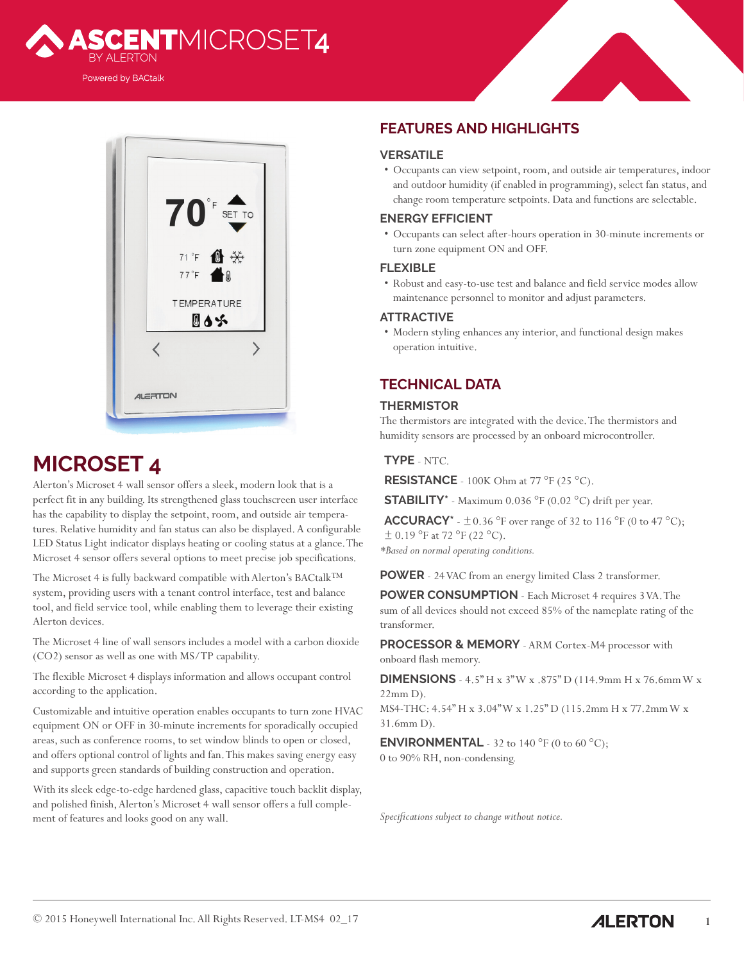



# **MICROSET 4**

Alerton's Microset 4 wall sensor offers a sleek, modern look that is a perfect fit in any building. Its strengthened glass touchscreen user interface has the capability to display the setpoint, room, and outside air temperatures. Relative humidity and fan status can also be displayed. A configurable LED Status Light indicator displays heating or cooling status at a glance. The Microset 4 sensor offers several options to meet precise job specifications.

The Microset 4 is fully backward compatible with Alerton's BACtalk™ system, providing users with a tenant control interface, test and balance tool, and field service tool, while enabling them to leverage their existing Alerton devices.

The Microset 4 line of wall sensors includes a model with a carbon dioxide (CO2) sensor as well as one with MS/TP capability.

The flexible Microset 4 displays information and allows occupant control according to the application.

Customizable and intuitive operation enables occupants to turn zone HVAC equipment ON or OFF in 30-minute increments for sporadically occupied areas, such as conference rooms, to set window blinds to open or closed, and offers optional control of lights and fan. This makes saving energy easy and supports green standards of building construction and operation.

With its sleek edge-to-edge hardened glass, capacitive touch backlit display, and polished finish, Alerton's Microset 4 wall sensor offers a full complement of features and looks good on any wall.

## **FEATURES AND HIGHLIGHTS**

#### **VERSATILE**

• Occupants can view setpoint, room, and outside air temperatures, indoor and outdoor humidity (if enabled in programming), select fan status, and change room temperature setpoints. Data and functions are selectable.

#### **ENERGY EFFICIENT**

• Occupants can select after-hours operation in 30-minute increments or turn zone equipment ON and OFF.

#### **FLEXIBLE**

• Robust and easy-to-use test and balance and field service modes allow maintenance personnel to monitor and adjust parameters.

#### **ATTRACTIVE**

• Modern styling enhances any interior, and functional design makes operation intuitive.

## **TECHNICAL DATA**

#### **THERMISTOR**

The thermistors are integrated with the device. The thermistors and humidity sensors are processed by an onboard microcontroller.

### **TYPE** - NTC.

**RESISTANCE** - 100K Ohm at 77 °F (25 °C).

**STABILITY\*** - Maximum 0.036 °F (0.02 °C) drift per year.

**ACCURACY**\* -  $\pm$  0.36 °F over range of 32 to 116 °F (0 to 47 °C);  $\pm$  0.19 °F at 72 °F (22 °C). *\*Based on normal operating conditions.*

**POWER** - 24 VAC from an energy limited Class 2 transformer.

**POWER CONSUMPTION** - Each Microset 4 requires 3 VA. The sum of all devices should not exceed 85% of the nameplate rating of the transformer.

**PROCESSOR & MEMORY** - ARM Cortex-M4 processor with onboard flash memory.

**DIMENSIONS** - 4.5" H x 3" W x .875" D (114.9mm H x 76.6mm W x 22mm D).

MS4-THC: 4.54" H x 3.04" W x 1.25" D (115.2mm H x 77.2mm W x 31.6mm D).

**ENVIRONMENTAL** - 32 to 140 °F (0 to 60 °C); 0 to 90% RH, non-condensing.

*Specifications subject to change without notice.*